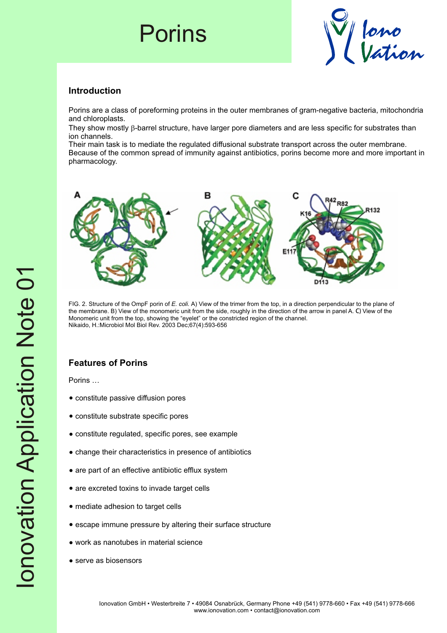## Porins



### **Introduction**

Porins are a class of poreforming proteins in the outer membranes of gram-negative bacteria, mitochondria and chloroplasts.

They show mostly  $\beta$ -barrel structure, have larger pore diameters and are less specific for substrates than ion channels.

Their main task is to mediate the regulated diffusional substrate transport across the outer membrane. Because of the common spread of immunity against antibiotics, porins become more and more important in pharmacology.



FIG. 2. Structure of the OmpF porin of *E. coli.* A) View of the trimer from the top, in a direction perpendicular to the plane of the membrane. B) View of the monomeric unit from the side, roughly in the direction of the arrow in panel A. C) View of the Monomeric unit from the top, showing the "eyelet" or the constricted region of the channel. Nikaido, H.:Microbiol Mol Biol Rev. 2003 Dec;67(4):593-656

## **Features of Porins**

Porins …

- constitute passive diffusion pores
- constitute substrate specific pores
- constitute regulated, specific pores, see example
- ?change their characteristics in presence of antibiotics
- are part of an effective antibiotic efflux system
- are excreted toxins to invade target cells
- mediate adhesion to target cells
- ?escape immune pressure by altering their surface structure
- work as nanotubes in material science
- serve as biosensors